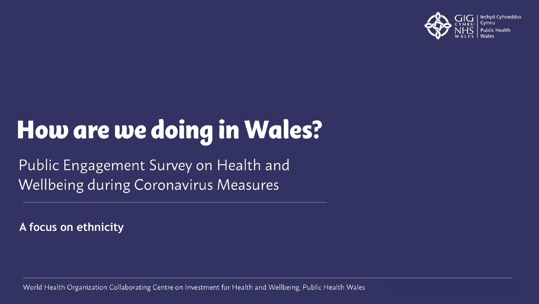

# How are we doing in Wales?

Public Engagement Survey on Health and **Wellbeing during Coronavirus Measures** 

**A focus on ethnicity**

World Health Organization Collaborating Centre on Investment for Health and Wellbeing, Public Health Wales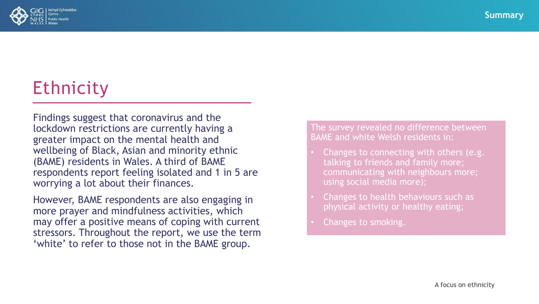

## **Ethnicity**

Findings suggest that coronavirus and the lockdown restrictions are currently having a greater impact on the mental health and wellbeing of Black, Asian and minority ethnic (BAME) residents in Wales. A third of BAME respondents report feeling isolated and 1 in 5 are worrying a lot about their finances.

However, BAME respondents are also engaging in more prayer and mindfulness activities, which may offer a positive means of coping with current stressors. Throughout the report, we use the term 'white' to refer to those not in the BAME group.

The survey revealed no difference between BAME and white Welsh residents in:

- Changes to connecting with others (e.g. talking to friends and family more; communicating with neighbours more; using social media more);
- Changes to health behaviours such as physical activity or healthy eating;
- Changes to smoking.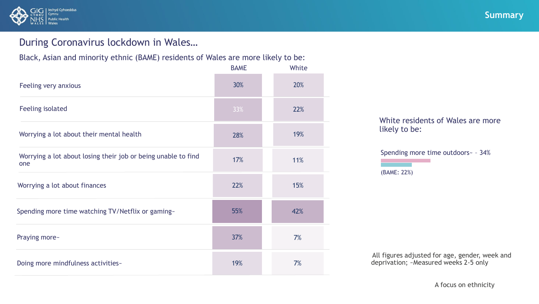

### During Coronavirus lockdown in Wales…

Black, Asian and minority ethnic (BAME) residents of Wales are more likely to be:

|                                                                      | <b>BAME</b> | White |                                                                                     |
|----------------------------------------------------------------------|-------------|-------|-------------------------------------------------------------------------------------|
| Feeling very anxious                                                 | 30%         | 20%   |                                                                                     |
| Feeling isolated                                                     | 33%         | 22%   |                                                                                     |
| Worrying a lot about their mental health                             | 28%         | 19%   | White residents of Wales are mot<br>likely to be:                                   |
| Worrying a lot about losing their job or being unable to find<br>one | 17%         | 11%   | Spending more time outdoors - - 34%<br>(BAME: 22%)                                  |
| Worrying a lot about finances                                        | 22%         | 15%   |                                                                                     |
| Spending more time watching TV/Netflix or gaming-                    | 55%         | 42%   |                                                                                     |
| Praying more-                                                        | 37%         | 7%    |                                                                                     |
| Doing more mindfulness activities-                                   | 19%         | 7%    | All figures adjusted for age, gender, wee<br>deprivation; - Measured weeks 2-5 only |
|                                                                      |             |       | A focus on ethnicity                                                                |

White residents of Wales are more likely to be:

All figures adjusted for age, gender, week and deprivation; ~Measured weeks 2-5 only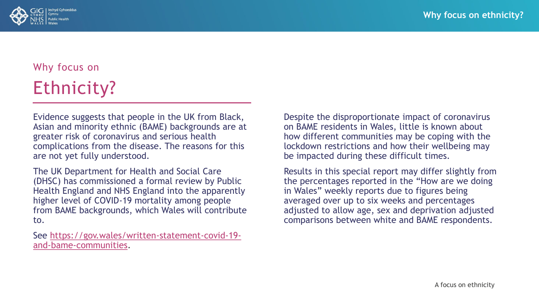

### Why focus on Ethnicity?

Evidence suggests that people in the UK from Black, Asian and minority ethnic (BAME) backgrounds are at greater risk of coronavirus and serious health complications from the disease. The reasons for this are not yet fully understood.

The UK Department for Health and Social Care (DHSC) has commissioned a formal review by Public Health England and NHS England into the apparently higher level of COVID-19 mortality among people from BAME backgrounds, which Wales will contribute to.

[See https://gov.wales/written-statement-covid-19](https://gov.wales/written-statement-covid-19-and-bame-communities) and-bame-communities.

Despite the disproportionate impact of coronavirus on BAME residents in Wales, little is known about how different communities may be coping with the lockdown restrictions and how their wellbeing may be impacted during these difficult times.

Results in this special report may differ slightly from the percentages reported in the "How are we doing in Wales" weekly reports due to figures being averaged over up to six weeks and percentages adjusted to allow age, sex and deprivation adjusted comparisons between white and BAME respondents.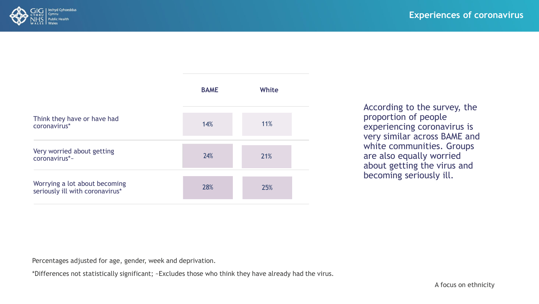

|                                                                                                        | <b>BAME</b> | <b>White</b> |                                                                                                                     |  |
|--------------------------------------------------------------------------------------------------------|-------------|--------------|---------------------------------------------------------------------------------------------------------------------|--|
| Think they have or have had<br>coronavirus*                                                            | 14%         | 11%          | According to the survey, the<br>proportion of people<br>experiencing coronavirus is<br>very similar across BAME and |  |
| Very worried about getting<br>coronavirus*~                                                            | 24%         | 21%          | white communities. Groups<br>are also equally worried<br>about getting the virus and                                |  |
| Worrying a lot about becoming<br>seriously ill with coronavirus*                                       | 28%         | 25%          | becoming seriously ill.                                                                                             |  |
|                                                                                                        |             |              |                                                                                                                     |  |
| Percentages adjusted for age, gender, week and deprivation.                                            |             |              |                                                                                                                     |  |
| *Differences not statistically significant; ~Excludes those who think they have already had the virus. |             |              |                                                                                                                     |  |
|                                                                                                        |             |              | A focus on ethnicity                                                                                                |  |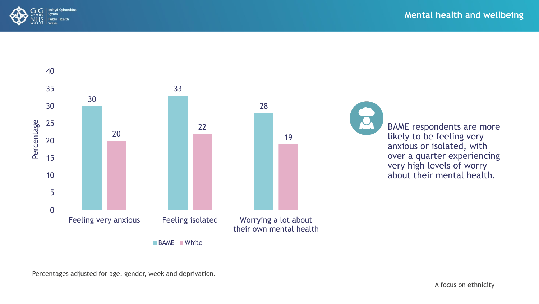



BAME respondents are more likely to be feeling very anxious or isolated, with over a quarter experiencing very high levels of worry about their mental health.

Percentages adjusted for age, gender, week and deprivation.

A focus on ethnicity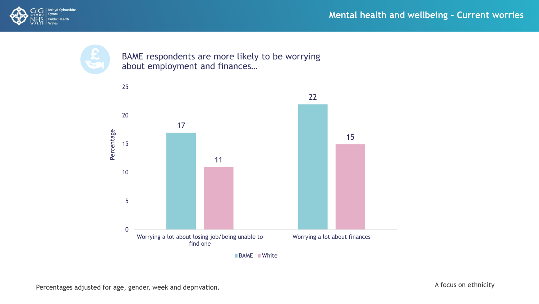



BAME respondents are more likely to be worrying about employment and finances…



**BAME White**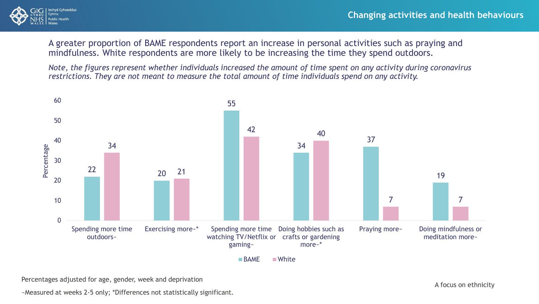

A greater proportion of BAME respondents report an increase in personal activities such as praying and mindfulness. White respondents are more likely to be increasing the time they spend outdoors.

*Note, the figures represent whether individuals increased the amount of time spent on any activity during coronavirus restrictions. They are not meant to measure the total amount of time individuals spend on any activity.*



**BAME** White

Percentages adjusted for age, gender, week and deprivation

~Measured at weeks 2-5 only; \*Differences not statistically significant.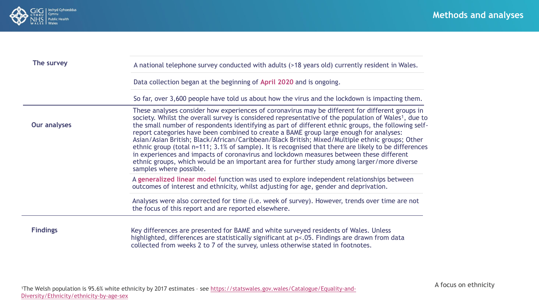

| The survey      | A national telephone survey conducted with adults (>18 years old) currently resident in Wales.                                                                                                                                                                                                                                                                                                                                                                                                                                                                                                                                                                                                                                                                                                                                                       |
|-----------------|------------------------------------------------------------------------------------------------------------------------------------------------------------------------------------------------------------------------------------------------------------------------------------------------------------------------------------------------------------------------------------------------------------------------------------------------------------------------------------------------------------------------------------------------------------------------------------------------------------------------------------------------------------------------------------------------------------------------------------------------------------------------------------------------------------------------------------------------------|
|                 | Data collection began at the beginning of April 2020 and is ongoing.                                                                                                                                                                                                                                                                                                                                                                                                                                                                                                                                                                                                                                                                                                                                                                                 |
|                 | So far, over 3,600 people have told us about how the virus and the lockdown is impacting them.                                                                                                                                                                                                                                                                                                                                                                                                                                                                                                                                                                                                                                                                                                                                                       |
| Our analyses    | These analyses consider how experiences of coronavirus may be different for different groups in<br>society. Whilst the overall survey is considered representative of the population of Wales <sup>1</sup> , due to<br>the small number of respondents identifying as part of different ethnic groups, the following self-<br>report categories have been combined to create a BAME group large enough for analyses:<br>Asian/Asian British; Black/African/Caribbean/Black British; Mixed/Multiple ethnic groups; Other<br>ethnic group (total n=111; 3.1% of sample). It is recognised that there are likely to be differences<br>in experiences and impacts of coronavirus and lockdown measures between these different<br>ethnic groups, which would be an important area for further study among larger/more diverse<br>samples where possible. |
|                 | A generalized linear model function was used to explore independent relationships between<br>outcomes of interest and ethnicity, whilst adjusting for age, gender and deprivation.                                                                                                                                                                                                                                                                                                                                                                                                                                                                                                                                                                                                                                                                   |
|                 | Analyses were also corrected for time (i.e. week of survey). However, trends over time are not<br>the focus of this report and are reported elsewhere.                                                                                                                                                                                                                                                                                                                                                                                                                                                                                                                                                                                                                                                                                               |
| <b>Findings</b> | Key differences are presented for BAME and white surveyed residents of Wales. Unless<br>highlighted, differences are statistically significant at p<.05. Findings are drawn from data<br>collected from weeks 2 to 7 of the survey, unless otherwise stated in footnotes.                                                                                                                                                                                                                                                                                                                                                                                                                                                                                                                                                                            |

A focus on ethnicity